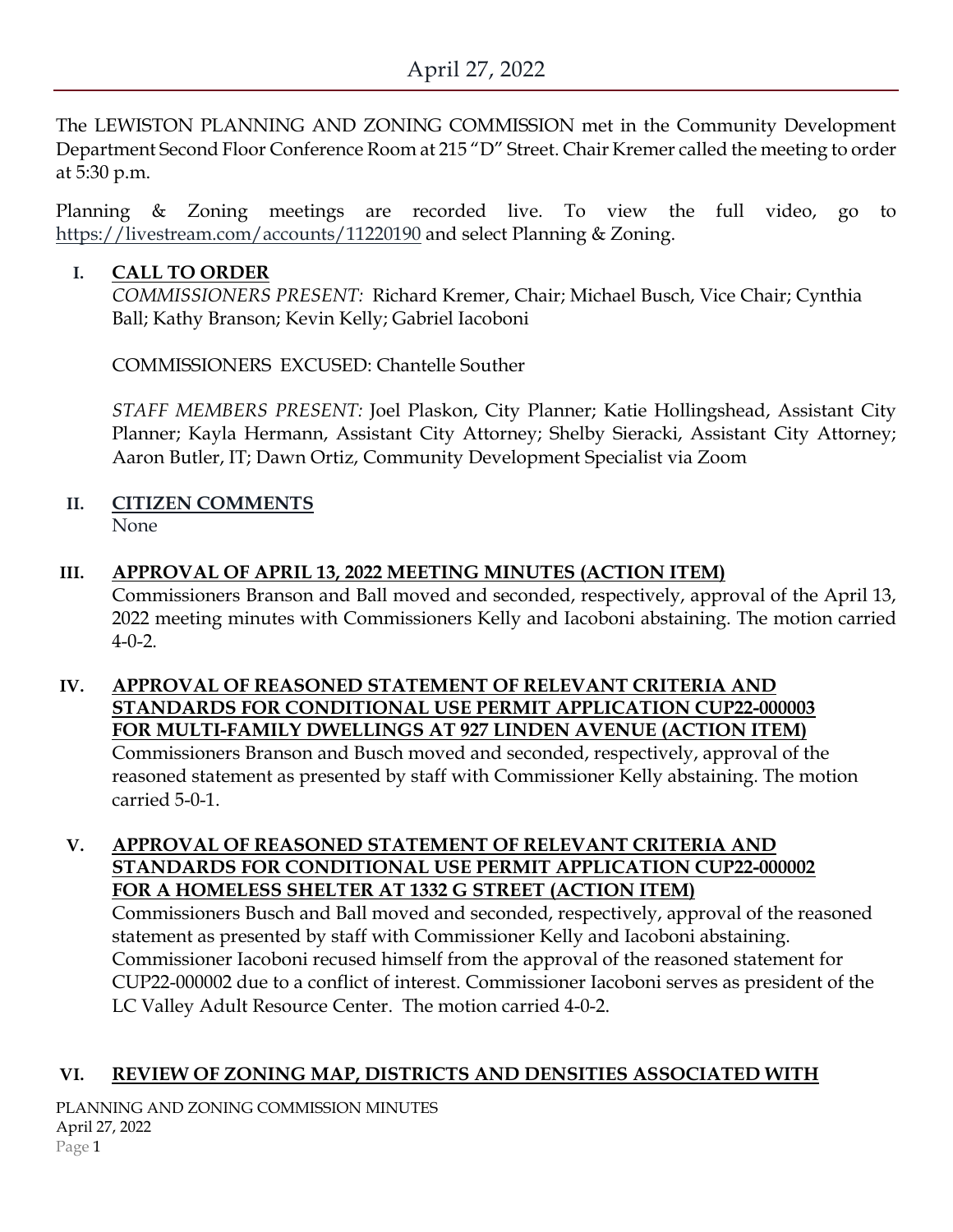The LEWISTON PLANNING AND ZONING COMMISSION met in the Community Development Department Second Floor Conference Room at 215 "D" Street. Chair Kremer called the meeting to order at 5:30 p.m.

Planning & Zoning meetings are recorded live. To view the full video, go to <https://livestream.com/accounts/11220190> and select Planning & Zoning.

### **I. CALL TO ORDER**

*COMMISSIONERS PRESENT:* Richard Kremer, Chair; Michael Busch, Vice Chair; Cynthia Ball; Kathy Branson; Kevin Kelly; Gabriel Iacoboni

COMMISSIONERS EXCUSED: Chantelle Souther

*STAFF MEMBERS PRESENT:* Joel Plaskon, City Planner; Katie Hollingshead, Assistant City Planner; Kayla Hermann, Assistant City Attorney; Shelby Sieracki, Assistant City Attorney; Aaron Butler, IT; Dawn Ortiz, Community Development Specialist via Zoom

## **II. CITIZEN COMMENTS**

None

### **III. APPROVAL OF APRIL 13, 2022 MEETING MINUTES (ACTION ITEM)**

Commissioners Branson and Ball moved and seconded, respectively, approval of the April 13, 2022 meeting minutes with Commissioners Kelly and Iacoboni abstaining. The motion carried 4-0-2.

#### **IV. APPROVAL OF REASONED STATEMENT OF RELEVANT CRITERIA AND STANDARDS FOR CONDITIONAL USE PERMIT APPLICATION CUP22-000003 FOR MULTI-FAMILY DWELLINGS AT 927 LINDEN AVENUE (ACTION ITEM)** Commissioners Branson and Busch moved and seconded, respectively, approval of the

reasoned statement as presented by staff with Commissioner Kelly abstaining. The motion carried 5-0-1.

# **V. APPROVAL OF REASONED STATEMENT OF RELEVANT CRITERIA AND STANDARDS FOR CONDITIONAL USE PERMIT APPLICATION CUP22-000002 FOR A HOMELESS SHELTER AT 1332 G STREET (ACTION ITEM)**

Commissioners Busch and Ball moved and seconded, respectively, approval of the reasoned statement as presented by staff with Commissioner Kelly and Iacoboni abstaining. Commissioner Iacoboni recused himself from the approval of the reasoned statement for CUP22-000002 due to a conflict of interest. Commissioner Iacoboni serves as president of the LC Valley Adult Resource Center. The motion carried 4-0-2.

### **VI. REVIEW OF ZONING MAP, DISTRICTS AND DENSITIES ASSOCIATED WITH**

PLANNING AND ZONING COMMISSION MINUTES April 27, 2022 Page 1